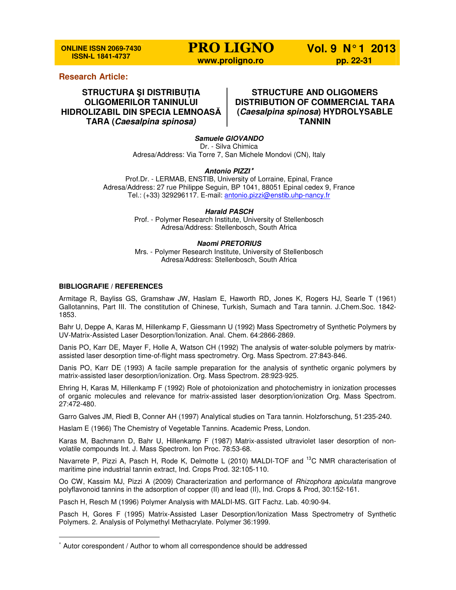**ONLINE ISSN 2069-7430 ISSN-L 1841-4737** 

## **Research Article:**

**STRUCTURA ŞI DISTRIBUłIA OLIGOMERILOR TANINULUI HIDROLIZABIL DIN SPECIA LEMNOASĂ TARA (Caesalpina spinosa)**

# **STRUCTURE AND OLIGOMERS DISTRIBUTION OF COMMERCIAL TARA (Caesalpina spinosa) HYDROLYSABLE TANNIN**

**Samuele GIOVANDO**  Dr. - Silva Chimica Adresa/Address: Via Torre 7, San Michele Mondovi (CN), Italy

#### **Antonio PIZZI** <sup>∗</sup>

Prof.Dr. - LERMAB, ENSTIB, University of Lorraine, Epinal, France Adresa/Address: 27 rue Philippe Seguin, BP 1041, 88051 Epinal cedex 9, France Tel.: (+33) 329296117. E-mail: antonio.pizzi@enstib.uhp-nancy.fr

#### **Harald PASCH**

Prof. - Polymer Research Institute, University of Stellenbosch Adresa/Address: Stellenbosch, South Africa

#### **Naomi PRETORIUS**

Mrs. - Polymer Research Institute, University of Stellenbosch Adresa/Address: Stellenbosch, South Africa

### **BIBLIOGRAFIE / REFERENCES**

l

Armitage R, Bayliss GS, Gramshaw JW, Haslam E, Haworth RD, Jones K, Rogers HJ, Searle T (1961) Gallotannins, Part III. The constitution of Chinese, Turkish, Sumach and Tara tannin. J.Chem.Soc. 1842- 1853.

Bahr U, Deppe A, Karas M, Hillenkamp F, Giessmann U (1992) Mass Spectrometry of Synthetic Polymers by UV-Matrix-Assisted Laser Desorption/Ionization. Anal. Chem. 64:2866-2869.

Danis PO, Karr DE, Mayer F, Holle A, Watson CH (1992) The analysis of water-soluble polymers by matrixassisted laser desorption time-of-flight mass spectrometry. Org. Mass Spectrom. 27:843-846.

Danis PO, Karr DE (1993) A facile sample preparation for the analysis of synthetic organic polymers by matrix-assisted laser desorption/ionization. Org. Mass Spectrom. 28:923-925.

Ehring H, Karas M, Hillenkamp F (1992) Role of photoionization and photochemistry in ionization processes of organic molecules and relevance for matrix-assisted laser desorption/ionization Org. Mass Spectrom. 27:472-480.

Garro Galves JM, Riedl B, Conner AH (1997) Analytical studies on Tara tannin. Holzforschung, 51:235-240.

Haslam E (1966) The Chemistry of Vegetable Tannins. Academic Press, London.

Karas M, Bachmann D, Bahr U, Hillenkamp F (1987) Matrix-assisted ultraviolet laser desorption of nonvolatile compounds Int. J. Mass Spectrom. Ion Proc. 78:53-68.

Navarrete P, Pizzi A, Pasch H, Rode K, Delmotte L (2010) MALDI-TOF and <sup>13</sup>C NMR characterisation of maritime pine industrial tannin extract, Ind. Crops Prod. 32:105-110.

Oo CW, Kassim MJ, Pizzi A (2009) Characterization and performance of Rhizophora apiculata mangrove polyflavonoid tannins in the adsorption of copper (II) and lead (II), Ind. Crops & Prod, 30:152-161.

Pasch H, Resch M (1996) Polymer Analysis with MALDI-MS. GIT Fachz. Lab. 40:90-94.

Pasch H, Gores F (1995) Matrix-Assisted Laser Desorption/Ionization Mass Spectrometry of Synthetic Polymers. 2. Analysis of Polymethyl Methacrylate. Polymer 36:1999.

<sup>∗</sup> Autor corespondent / Author to whom all correspondence should be addressed